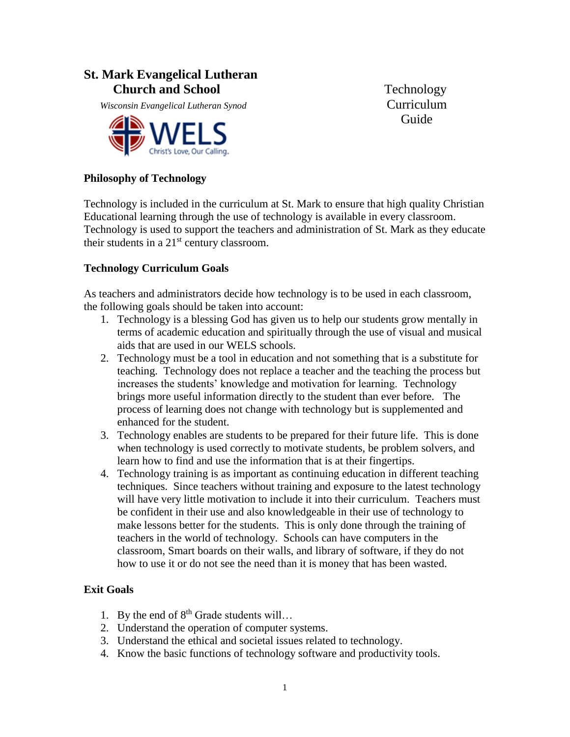# **St. Mark Evangelical Lutheran Church and School Technology**

*Misconsin Evangelical Lutheran Synod* Curriculum



**Guide** 

### **Philosophy of Technology**

Technology is included in the curriculum at St. Mark to ensure that high quality Christian Educational learning through the use of technology is available in every classroom. Technology is used to support the teachers and administration of St. Mark as they educate their students in a  $21<sup>st</sup>$  century classroom.

### **Technology Curriculum Goals**

As teachers and administrators decide how technology is to be used in each classroom, the following goals should be taken into account:

- 1. Technology is a blessing God has given us to help our students grow mentally in terms of academic education and spiritually through the use of visual and musical aids that are used in our WELS schools.
- 2. Technology must be a tool in education and not something that is a substitute for teaching. Technology does not replace a teacher and the teaching the process but increases the students' knowledge and motivation for learning. Technology brings more useful information directly to the student than ever before. The process of learning does not change with technology but is supplemented and enhanced for the student.
- 3. Technology enables are students to be prepared for their future life. This is done when technology is used correctly to motivate students, be problem solvers, and learn how to find and use the information that is at their fingertips.
- 4. Technology training is as important as continuing education in different teaching techniques. Since teachers without training and exposure to the latest technology will have very little motivation to include it into their curriculum. Teachers must be confident in their use and also knowledgeable in their use of technology to make lessons better for the students. This is only done through the training of teachers in the world of technology. Schools can have computers in the classroom, Smart boards on their walls, and library of software, if they do not how to use it or do not see the need than it is money that has been wasted.

#### **Exit Goals**

- 1. By the end of  $8<sup>th</sup>$  Grade students will...
- 2. Understand the operation of computer systems.
- 3. Understand the ethical and societal issues related to technology.
- 4. Know the basic functions of technology software and productivity tools.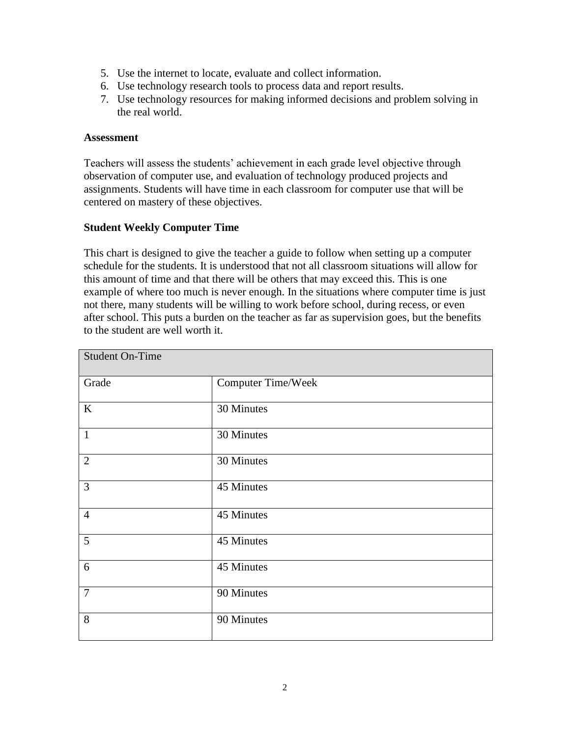- 5. Use the internet to locate, evaluate and collect information.
- 6. Use technology research tools to process data and report results.
- 7. Use technology resources for making informed decisions and problem solving in the real world.

#### **Assessment**

Teachers will assess the students' achievement in each grade level objective through observation of computer use, and evaluation of technology produced projects and assignments. Students will have time in each classroom for computer use that will be centered on mastery of these objectives.

### **Student Weekly Computer Time**

This chart is designed to give the teacher a guide to follow when setting up a computer schedule for the students. It is understood that not all classroom situations will allow for this amount of time and that there will be others that may exceed this. This is one example of where too much is never enough. In the situations where computer time is just not there, many students will be willing to work before school, during recess, or even after school. This puts a burden on the teacher as far as supervision goes, but the benefits to the student are well worth it.

| <b>Student On-Time</b> |                           |
|------------------------|---------------------------|
| Grade                  | <b>Computer Time/Week</b> |
| $\rm K$                | 30 Minutes                |
| $\mathbf{1}$           | 30 Minutes                |
| $\overline{2}$         | 30 Minutes                |
| 3                      | 45 Minutes                |
| $\overline{4}$         | 45 Minutes                |
| 5                      | 45 Minutes                |
| 6                      | 45 Minutes                |
| $\overline{7}$         | 90 Minutes                |
| 8                      | 90 Minutes                |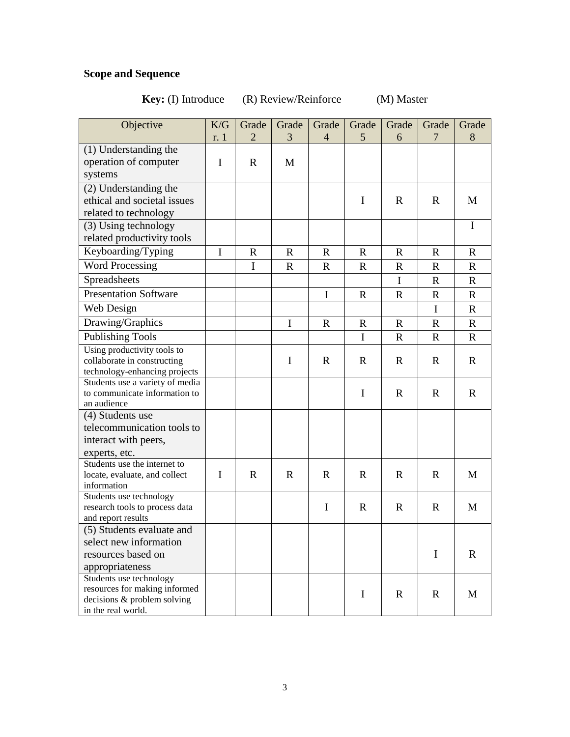# **Scope and Sequence**

# **Key:** (I) Introduce (R) Review/Reinforce (M) Master

| Objective                                                                                                     | K/G         | Grade        | Grade        | Grade          | Grade       | Grade        | Grade       | Grade        |
|---------------------------------------------------------------------------------------------------------------|-------------|--------------|--------------|----------------|-------------|--------------|-------------|--------------|
|                                                                                                               | r. 1        | 2            | 3            | $\overline{4}$ | 5           | 6            | 7           | 8            |
| (1) Understanding the<br>operation of computer<br>systems                                                     | I           | $\mathbf R$  | M            |                |             |              |             |              |
| (2) Understanding the<br>ethical and societal issues<br>related to technology                                 |             |              |              |                | I           | $\mathbb{R}$ | $\mathbf R$ | M            |
| (3) Using technology<br>related productivity tools                                                            |             |              |              |                |             |              |             | $\mathbf I$  |
| Keyboarding/Typing                                                                                            | $\mathbf I$ | $\mathbb{R}$ | $\mathbb{R}$ | $\mathbf R$    | $\mathbf R$ | $\mathbb{R}$ | $\mathbf R$ | $\mathbf R$  |
| <b>Word Processing</b>                                                                                        |             | I            | $\mathbf R$  | R              | $\mathbf R$ | $\mathbf R$  | $\mathbf R$ | R            |
| Spreadsheets                                                                                                  |             |              |              |                |             | I            | $\mathbf R$ | $\mathbf R$  |
| <b>Presentation Software</b>                                                                                  |             |              |              | I              | $\mathbf R$ | $\mathbf R$  | $\mathbf R$ | $\mathbf{R}$ |
| Web Design                                                                                                    |             |              |              |                |             |              | I           | $\mathbf R$  |
| Drawing/Graphics                                                                                              |             |              | I            | $\mathbf R$    | $\mathbf R$ | $\mathbf R$  | $\mathbf R$ | $\mathbf R$  |
| <b>Publishing Tools</b>                                                                                       |             |              |              |                | $\mathbf I$ | $\mathbf R$  | $\mathbf R$ | $\mathbf{R}$ |
| Using productivity tools to<br>collaborate in constructing<br>technology-enhancing projects                   |             |              | $\mathbf I$  | $\mathbf R$    | $\mathbf R$ | $\mathbf R$  | $\mathbf R$ | $\mathbf R$  |
| Students use a variety of media<br>to communicate information to<br>an audience                               |             |              |              |                | $\mathbf I$ | $\mathbf R$  | $\mathbf R$ | $\mathbf R$  |
| (4) Students use<br>telecommunication tools to<br>interact with peers,<br>experts, etc.                       |             |              |              |                |             |              |             |              |
| Students use the internet to<br>locate, evaluate, and collect<br>information                                  | $\mathbf I$ | $\mathbb{R}$ | $\mathbf R$  | $\mathbf R$    | $\mathbf R$ | $\mathbb{R}$ | $\mathbf R$ | M            |
| Students use technology<br>research tools to process data<br>and report results                               |             |              |              | $\bf{I}$       | $\mathbf R$ | $\mathbf R$  | $\mathbf R$ | M            |
| (5) Students evaluate and<br>select new information<br>resources based on<br>appropriateness                  |             |              |              |                |             |              | $\bf{I}$    | $\mathbf R$  |
| Students use technology<br>resources for making informed<br>decisions & problem solving<br>in the real world. |             |              |              |                | $\mathbf I$ | $\mathbb{R}$ | $\mathbf R$ | M            |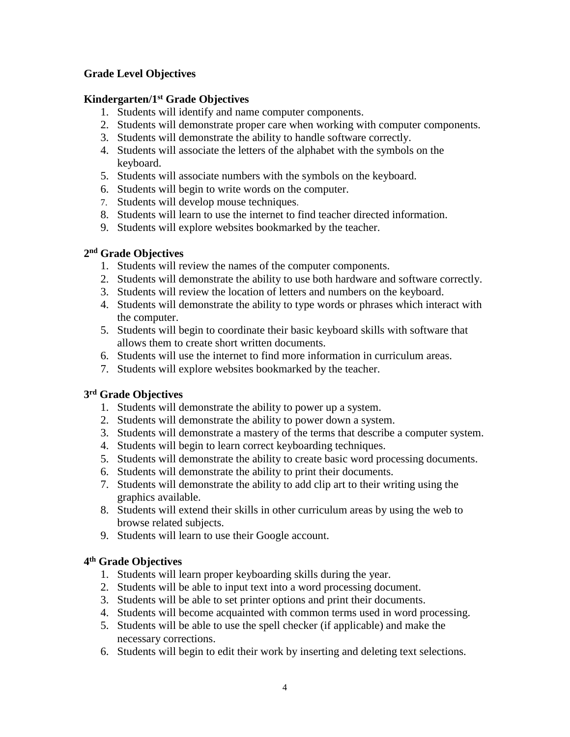# **Grade Level Objectives**

# **Kindergarten/1st Grade Objectives**

- 1. Students will identify and name computer components.
- 2. Students will demonstrate proper care when working with computer components.
- 3. Students will demonstrate the ability to handle software correctly.
- 4. Students will associate the letters of the alphabet with the symbols on the keyboard.
- 5. Students will associate numbers with the symbols on the keyboard.
- 6. Students will begin to write words on the computer.
- 7. Students will develop mouse techniques.
- 8. Students will learn to use the internet to find teacher directed information.
- 9. Students will explore websites bookmarked by the teacher.

# **2 nd Grade Objectives**

- 1. Students will review the names of the computer components.
- 2. Students will demonstrate the ability to use both hardware and software correctly.
- 3. Students will review the location of letters and numbers on the keyboard.
- 4. Students will demonstrate the ability to type words or phrases which interact with the computer.
- 5. Students will begin to coordinate their basic keyboard skills with software that allows them to create short written documents.
- 6. Students will use the internet to find more information in curriculum areas.
- 7. Students will explore websites bookmarked by the teacher.

# **3 rd Grade Objectives**

- 1. Students will demonstrate the ability to power up a system.
- 2. Students will demonstrate the ability to power down a system.
- 3. Students will demonstrate a mastery of the terms that describe a computer system.
- 4. Students will begin to learn correct keyboarding techniques.
- 5. Students will demonstrate the ability to create basic word processing documents.
- 6. Students will demonstrate the ability to print their documents.
- 7. Students will demonstrate the ability to add clip art to their writing using the graphics available.
- 8. Students will extend their skills in other curriculum areas by using the web to browse related subjects.
- 9. Students will learn to use their Google account.

# **4 th Grade Objectives**

- 1. Students will learn proper keyboarding skills during the year.
- 2. Students will be able to input text into a word processing document.
- 3. Students will be able to set printer options and print their documents.
- 4. Students will become acquainted with common terms used in word processing.
- 5. Students will be able to use the spell checker (if applicable) and make the necessary corrections.
- 6. Students will begin to edit their work by inserting and deleting text selections.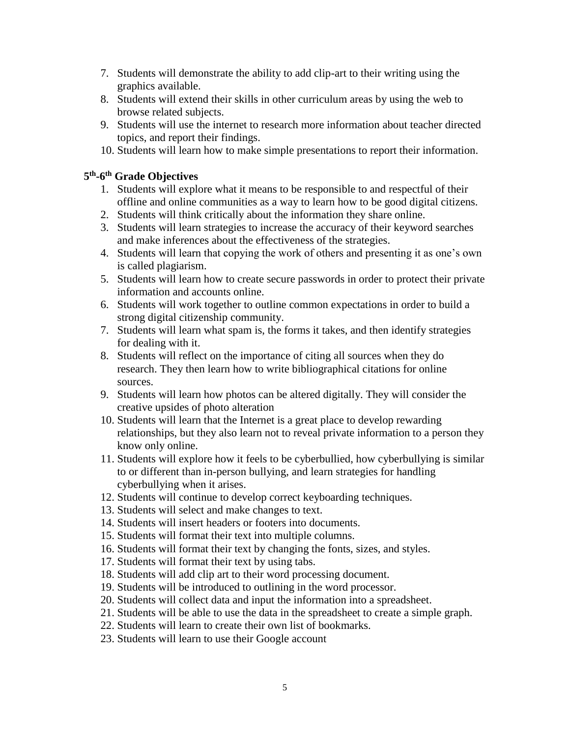- 7. Students will demonstrate the ability to add clip-art to their writing using the graphics available.
- 8. Students will extend their skills in other curriculum areas by using the web to browse related subjects.
- 9. Students will use the internet to research more information about teacher directed topics, and report their findings.
- 10. Students will learn how to make simple presentations to report their information.

#### **5 th -6 th Grade Objectives**

- 1. Students will explore what it means to be responsible to and respectful of their offline and online communities as a way to learn how to be good digital citizens.
- 2. Students will think critically about the information they share online.
- 3. Students will learn strategies to increase the accuracy of their keyword searches and make inferences about the effectiveness of the strategies.
- 4. Students will learn that copying the work of others and presenting it as one's own is called plagiarism.
- 5. Students will learn how to create secure passwords in order to protect their private information and accounts online.
- 6. Students will work together to outline common expectations in order to build a strong digital citizenship community.
- 7. Students will learn what spam is, the forms it takes, and then identify strategies for dealing with it.
- 8. Students will reflect on the importance of citing all sources when they do research. They then learn how to write bibliographical citations for online sources.
- 9. Students will learn how photos can be altered digitally. They will consider the creative upsides of photo alteration
- 10. Students will learn that the Internet is a great place to develop rewarding relationships, but they also learn not to reveal private information to a person they know only online.
- 11. Students will explore how it feels to be cyberbullied, how cyberbullying is similar to or different than in-person bullying, and learn strategies for handling cyberbullying when it arises.
- 12. Students will continue to develop correct keyboarding techniques.
- 13. Students will select and make changes to text.
- 14. Students will insert headers or footers into documents.
- 15. Students will format their text into multiple columns.
- 16. Students will format their text by changing the fonts, sizes, and styles.
- 17. Students will format their text by using tabs.
- 18. Students will add clip art to their word processing document.
- 19. Students will be introduced to outlining in the word processor.
- 20. Students will collect data and input the information into a spreadsheet.
- 21. Students will be able to use the data in the spreadsheet to create a simple graph.
- 22. Students will learn to create their own list of bookmarks.
- 23. Students will learn to use their Google account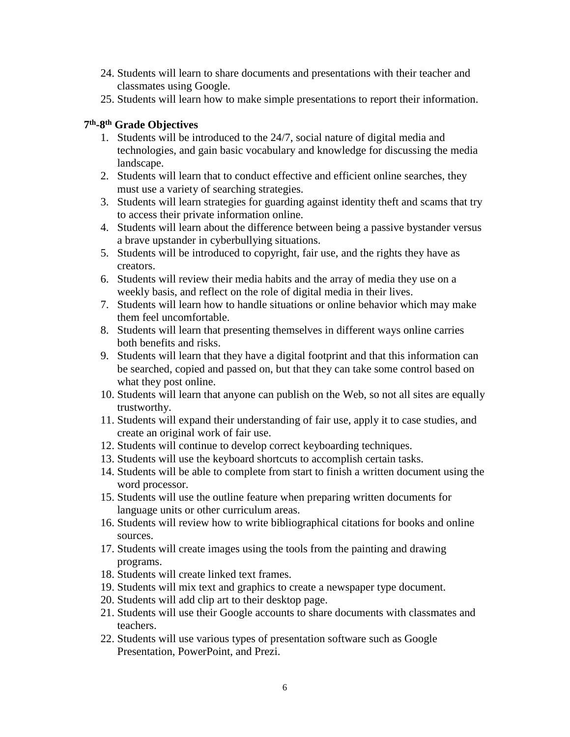- 24. Students will learn to share documents and presentations with their teacher and classmates using Google.
- 25. Students will learn how to make simple presentations to report their information.

## **7 th -8 th Grade Objectives**

- 1. Students will be introduced to the 24/7, social nature of digital media and technologies, and gain basic vocabulary and knowledge for discussing the media landscape.
- 2. Students will learn that to conduct effective and efficient online searches, they must use a variety of searching strategies.
- 3. Students will learn strategies for guarding against identity theft and scams that try to access their private information online.
- 4. Students will learn about the difference between being a passive bystander versus a brave upstander in cyberbullying situations.
- 5. Students will be introduced to copyright, fair use, and the rights they have as creators.
- 6. Students will review their media habits and the array of media they use on a weekly basis, and reflect on the role of digital media in their lives.
- 7. Students will learn how to handle situations or online behavior which may make them feel uncomfortable.
- 8. Students will learn that presenting themselves in different ways online carries both benefits and risks.
- 9. Students will learn that they have a digital footprint and that this information can be searched, copied and passed on, but that they can take some control based on what they post online.
- 10. Students will learn that anyone can publish on the Web, so not all sites are equally trustworthy.
- 11. Students will expand their understanding of fair use, apply it to case studies, and create an original work of fair use.
- 12. Students will continue to develop correct keyboarding techniques.
- 13. Students will use the keyboard shortcuts to accomplish certain tasks.
- 14. Students will be able to complete from start to finish a written document using the word processor.
- 15. Students will use the outline feature when preparing written documents for language units or other curriculum areas.
- 16. Students will review how to write bibliographical citations for books and online sources.
- 17. Students will create images using the tools from the painting and drawing programs.
- 18. Students will create linked text frames.
- 19. Students will mix text and graphics to create a newspaper type document.
- 20. Students will add clip art to their desktop page.
- 21. Students will use their Google accounts to share documents with classmates and teachers.
- 22. Students will use various types of presentation software such as Google Presentation, PowerPoint, and Prezi.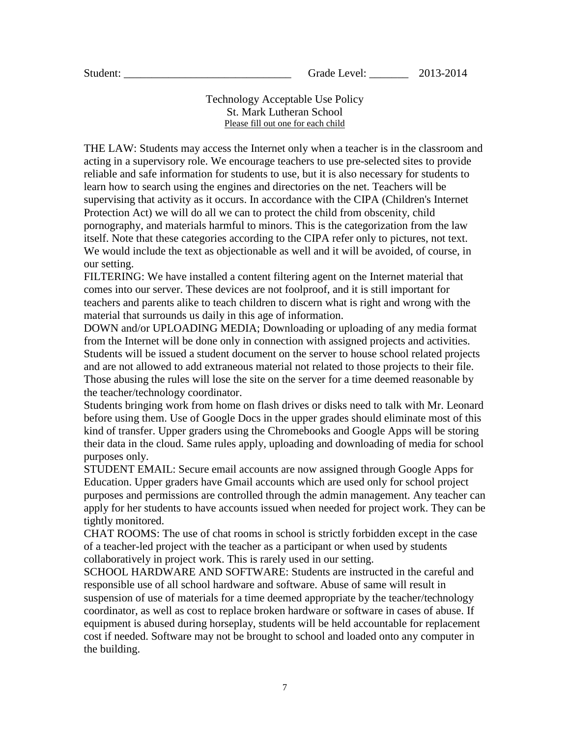#### Technology Acceptable Use Policy St. Mark Lutheran School Please fill out one for each child

THE LAW: Students may access the Internet only when a teacher is in the classroom and acting in a supervisory role. We encourage teachers to use pre-selected sites to provide reliable and safe information for students to use, but it is also necessary for students to learn how to search using the engines and directories on the net. Teachers will be supervising that activity as it occurs. In accordance with the CIPA (Children's Internet Protection Act) we will do all we can to protect the child from obscenity, child pornography, and materials harmful to minors. This is the categorization from the law itself. Note that these categories according to the CIPA refer only to pictures, not text. We would include the text as objectionable as well and it will be avoided, of course, in our setting.

FILTERING: We have installed a content filtering agent on the Internet material that comes into our server. These devices are not foolproof, and it is still important for teachers and parents alike to teach children to discern what is right and wrong with the material that surrounds us daily in this age of information.

DOWN and/or UPLOADING MEDIA; Downloading or uploading of any media format from the Internet will be done only in connection with assigned projects and activities. Students will be issued a student document on the server to house school related projects and are not allowed to add extraneous material not related to those projects to their file. Those abusing the rules will lose the site on the server for a time deemed reasonable by the teacher/technology coordinator.

Students bringing work from home on flash drives or disks need to talk with Mr. Leonard before using them. Use of Google Docs in the upper grades should eliminate most of this kind of transfer. Upper graders using the Chromebooks and Google Apps will be storing their data in the cloud. Same rules apply, uploading and downloading of media for school purposes only.

STUDENT EMAIL: Secure email accounts are now assigned through Google Apps for Education. Upper graders have Gmail accounts which are used only for school project purposes and permissions are controlled through the admin management. Any teacher can apply for her students to have accounts issued when needed for project work. They can be tightly monitored.

CHAT ROOMS: The use of chat rooms in school is strictly forbidden except in the case of a teacher-led project with the teacher as a participant or when used by students collaboratively in project work. This is rarely used in our setting.

SCHOOL HARDWARE AND SOFTWARE: Students are instructed in the careful and responsible use of all school hardware and software. Abuse of same will result in suspension of use of materials for a time deemed appropriate by the teacher/technology coordinator, as well as cost to replace broken hardware or software in cases of abuse. If equipment is abused during horseplay, students will be held accountable for replacement cost if needed. Software may not be brought to school and loaded onto any computer in the building.